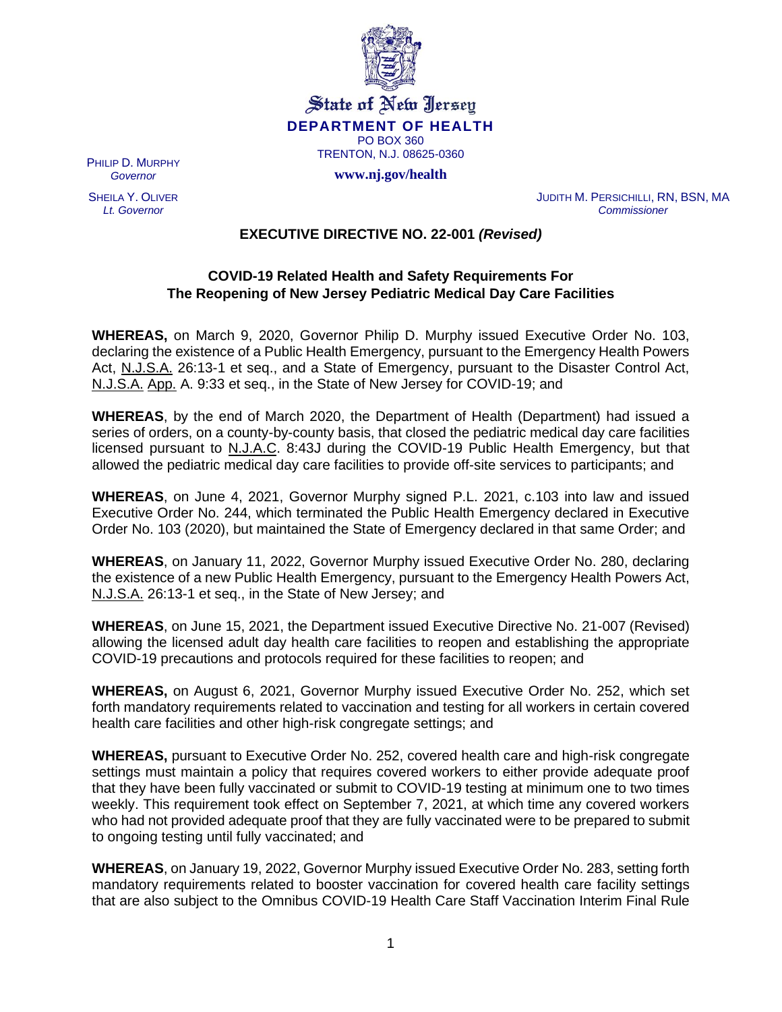

**State of New Jersey DEPARTMENT OF HEALTH** PO BOX 360 TRENTON, N.J. 08625-0360

**www.nj.gov/health**

PHILIP D. MURPHY *Governor*

SHEILA Y. OLIVER *Lt. Governor*

JUDITH M. PERSICHILLI, RN, BSN, MA *Commissioner*

**EXECUTIVE DIRECTIVE NO. 22-001** *(Revised)*

## **COVID-19 Related Health and Safety Requirements For The Reopening of New Jersey Pediatric Medical Day Care Facilities**

**WHEREAS,** on March 9, 2020, Governor Philip D. Murphy issued Executive Order No. 103, declaring the existence of a Public Health Emergency, pursuant to the Emergency Health Powers Act, N.J.S.A. 26:13-1 et seq., and a State of Emergency, pursuant to the Disaster Control Act, N.J.S.A. App. A. 9:33 et seq., in the State of New Jersey for COVID-19; and

**WHEREAS**, by the end of March 2020, the Department of Health (Department) had issued a series of orders, on a county-by-county basis, that closed the pediatric medical day care facilities licensed pursuant to N.J.A.C. 8:43J during the COVID-19 Public Health Emergency, but that allowed the pediatric medical day care facilities to provide off-site services to participants; and

**WHEREAS**, on June 4, 2021, Governor Murphy signed P.L. 2021, c.103 into law and issued Executive Order No. 244, which terminated the Public Health Emergency declared in Executive Order No. 103 (2020), but maintained the State of Emergency declared in that same Order; and

**WHEREAS**, on January 11, 2022, Governor Murphy issued Executive Order No. 280, declaring the existence of a new Public Health Emergency, pursuant to the Emergency Health Powers Act, N.J.S.A. 26:13-1 et seq., in the State of New Jersey; and

**WHEREAS**, on June 15, 2021, the Department issued Executive Directive No. 21-007 (Revised) allowing the licensed adult day health care facilities to reopen and establishing the appropriate COVID-19 precautions and protocols required for these facilities to reopen; and

**WHEREAS,** on August 6, 2021, Governor Murphy issued Executive Order No. 252, which set forth mandatory requirements related to vaccination and testing for all workers in certain covered health care facilities and other high-risk congregate settings; and

**WHEREAS,** pursuant to Executive Order No. 252, covered health care and high-risk congregate settings must maintain a policy that requires covered workers to either provide adequate proof that they have been fully vaccinated or submit to COVID-19 testing at minimum one to two times weekly. This requirement took effect on September 7, 2021, at which time any covered workers who had not provided adequate proof that they are fully vaccinated were to be prepared to submit to ongoing testing until fully vaccinated; and

**WHEREAS**, on January 19, 2022, Governor Murphy issued Executive Order No. 283, setting forth mandatory requirements related to booster vaccination for covered health care facility settings that are also subject to the Omnibus COVID-19 Health Care Staff Vaccination Interim Final Rule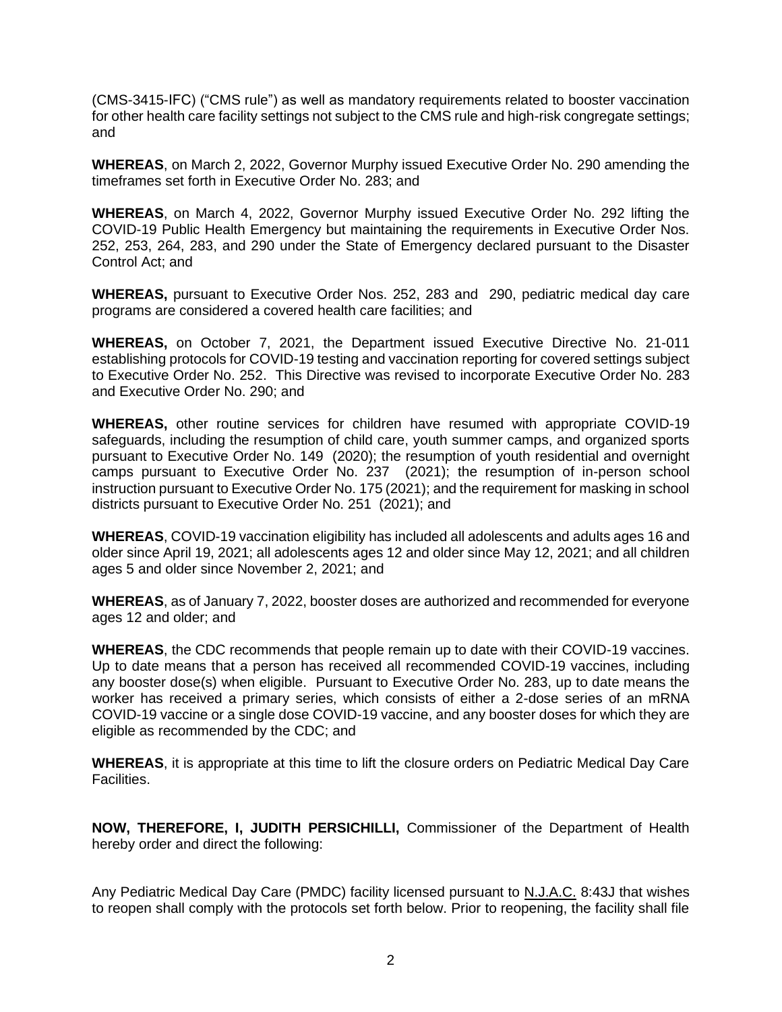(CMS-3415-IFC) ("CMS rule") as well as mandatory requirements related to booster vaccination for other health care facility settings not subject to the CMS rule and high-risk congregate settings; and

**WHEREAS**, on March 2, 2022, Governor Murphy issued Executive Order No. 290 amending the timeframes set forth in Executive Order No. 283; and

**WHEREAS**, on March 4, 2022, Governor Murphy issued Executive Order No. 292 lifting the COVID-19 Public Health Emergency but maintaining the requirements in Executive Order Nos. 252, 253, 264, 283, and 290 under the State of Emergency declared pursuant to the Disaster Control Act; and

**WHEREAS,** pursuant to Executive Order Nos. 252, 283 and 290, pediatric medical day care programs are considered a covered health care facilities; and

**WHEREAS,** on October 7, 2021, the Department issued Executive Directive No. 21-011 establishing protocols for COVID-19 testing and vaccination reporting for covered settings subject to Executive Order No. 252. This Directive was revised to incorporate Executive Order No. 283 and Executive Order No. 290; and

**WHEREAS,** other routine services for children have resumed with appropriate COVID-19 safeguards, including the resumption of child care, youth summer camps, and organized sports pursuant to Executive Order No. 149 (2020); the resumption of youth residential and overnight camps pursuant to Executive Order No. 237 (2021); the resumption of in-person school instruction pursuant to Executive Order No. 175 (2021); and the requirement for masking in school districts pursuant to Executive Order No. 251 (2021); and

**WHEREAS**, COVID-19 vaccination eligibility has included all adolescents and adults ages 16 and older since April 19, 2021; all adolescents ages 12 and older since May 12, 2021; and all children ages 5 and older since November 2, 2021; and

**WHEREAS**, as of January 7, 2022, booster doses are authorized and recommended for everyone ages 12 and older; and

**WHEREAS**, the CDC recommends that people remain up to date with their COVID-19 vaccines. Up to date means that a person has received all recommended COVID-19 vaccines, including any booster dose(s) when eligible. Pursuant to Executive Order No. 283, up to date means the worker has received a primary series, which consists of either a 2-dose series of an mRNA COVID-19 vaccine or a single dose COVID-19 vaccine, and any booster doses for which they are eligible as recommended by the CDC; and

**WHEREAS**, it is appropriate at this time to lift the closure orders on Pediatric Medical Day Care Facilities.

**NOW, THEREFORE, I, JUDITH PERSICHILLI,** Commissioner of the Department of Health hereby order and direct the following:

Any Pediatric Medical Day Care (PMDC) facility licensed pursuant to N.J.A.C. 8:43J that wishes to reopen shall comply with the protocols set forth below. Prior to reopening, the facility shall file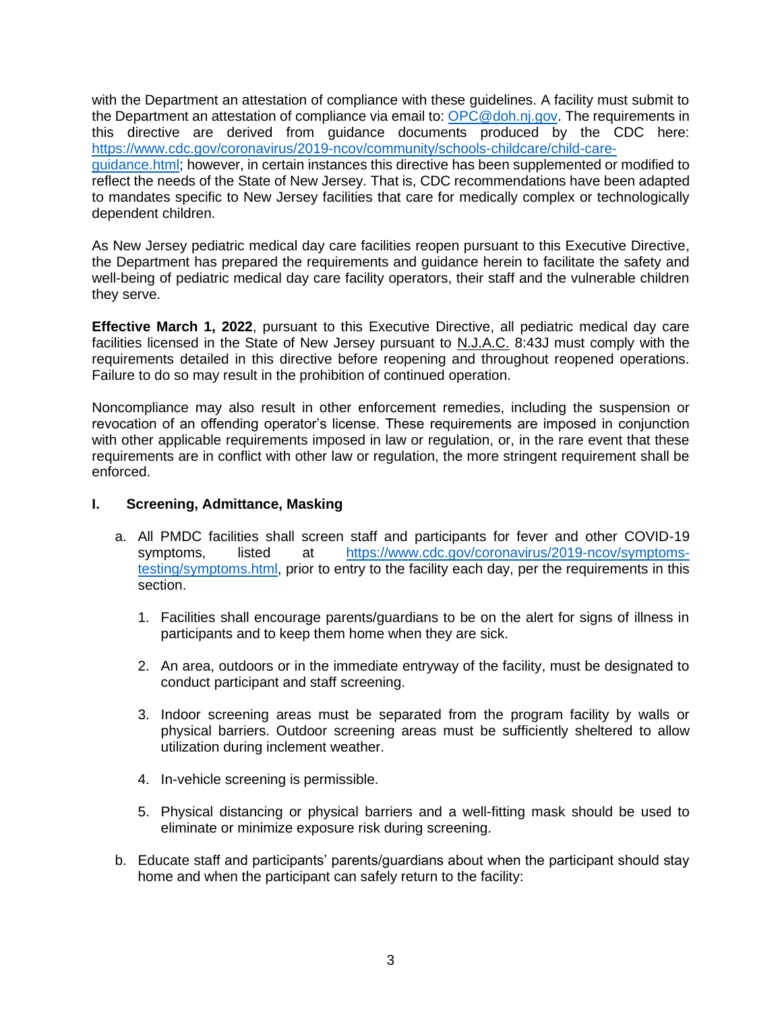with the Department an attestation of compliance with these guidelines. A facility must submit to the Department an attestation of compliance via email to: [OPC@doh.nj.gov.](mailto:OPC@doh.nj.gov) The requirements in this directive are derived from guidance documents produced by the CDC here: [https://www.cdc.gov/coronavirus/2019-ncov/community/schools-childcare/child-care](https://www.cdc.gov/coronavirus/2019-ncov/community/schools-childcare/child-care-guidance.html)[guidance.html;](https://www.cdc.gov/coronavirus/2019-ncov/community/schools-childcare/child-care-guidance.html) however, in certain instances this directive has been supplemented or modified to reflect the needs of the State of New Jersey. That is, CDC recommendations have been adapted to mandates specific to New Jersey facilities that care for medically complex or technologically dependent children.

As New Jersey pediatric medical day care facilities reopen pursuant to this Executive Directive, the Department has prepared the requirements and guidance herein to facilitate the safety and well-being of pediatric medical day care facility operators, their staff and the vulnerable children they serve.

**Effective March 1, 2022**, pursuant to this Executive Directive, all pediatric medical day care facilities licensed in the State of New Jersey pursuant to N.J.A.C. 8:43J must comply with the requirements detailed in this directive before reopening and throughout reopened operations. Failure to do so may result in the prohibition of continued operation.

Noncompliance may also result in other enforcement remedies, including the suspension or revocation of an offending operator's license. These requirements are imposed in conjunction with other applicable requirements imposed in law or regulation, or, in the rare event that these requirements are in conflict with other law or regulation, the more stringent requirement shall be enforced.

## **I. Screening, Admittance, Masking**

- a. All PMDC facilities shall screen staff and participants for fever and other COVID-19 symptoms, listed at [https://www.cdc.gov/coronavirus/2019-ncov/symptoms](https://www.cdc.gov/coronavirus/2019-ncov/symptoms-testing/symptoms.html)[testing/symptoms.html,](https://www.cdc.gov/coronavirus/2019-ncov/symptoms-testing/symptoms.html) prior to entry to the facility each day, per the requirements in this section.
	- 1. Facilities shall encourage parents/guardians to be on the alert for signs of illness in participants and to keep them home when they are sick.
	- 2. An area, outdoors or in the immediate entryway of the facility, must be designated to conduct participant and staff screening.
	- 3. Indoor screening areas must be separated from the program facility by walls or physical barriers. Outdoor screening areas must be sufficiently sheltered to allow utilization during inclement weather.
	- 4. In-vehicle screening is permissible.
	- 5. Physical distancing or physical barriers and a well-fitting mask should be used to eliminate or minimize exposure risk during screening.
- b. Educate staff and participants' parents/guardians about when the participant should stay home and when the participant can safely return to the facility: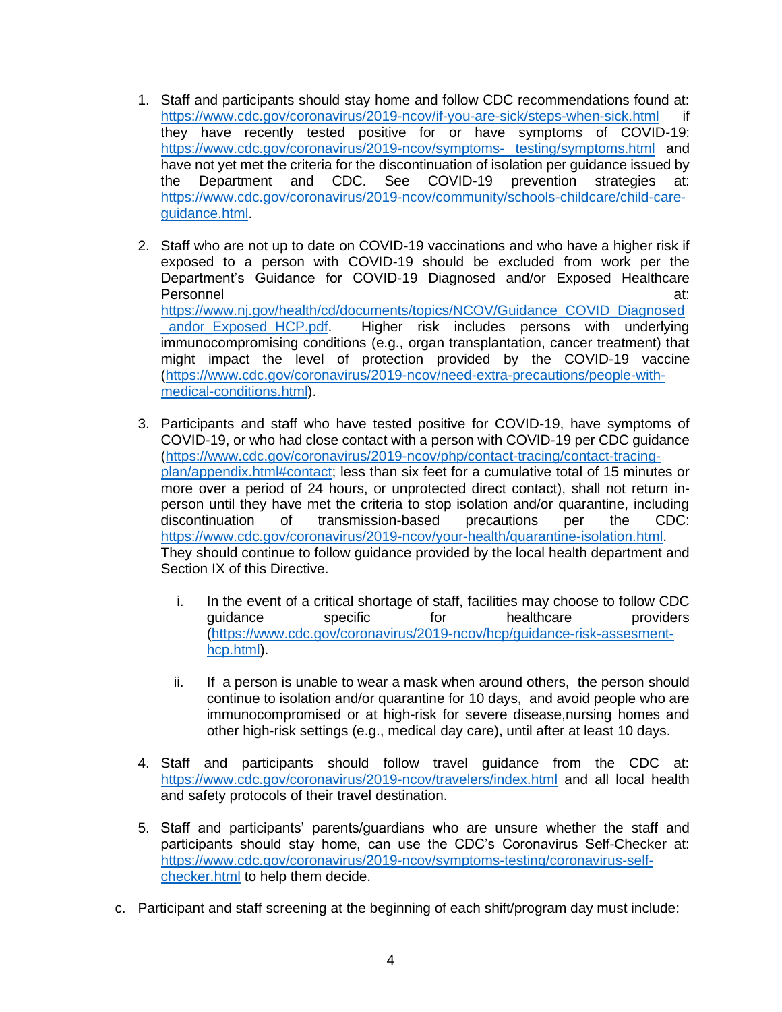- 1. Staff and participants should stay home and follow CDC recommendations found at: [https://www.cdc.gov/coronavirus/2019-ncov/if-you-are-sick/steps-when-sick.html](https://www.cdc.gov/coronavirus/2019-ncov/if-you-are-sick/steps-when­sick.html) if they have recently tested positive for or have symptoms of COVID-19: [https://www.cdc.gov/coronavirus/2019-ncov/symptoms- testing/symptoms.html](https://www.cdc.gov/coronavirus/2019-ncov/symptoms­%20testing/symptoms.html) and have not yet met the criteria for the discontinuation of isolation per guidance issued by<br>the Department and CDC. See COVID-19 prevention strategies at: the Department and CDC. See COVID-19 prevention strategies at: [https://www.cdc.gov/coronavirus/2019-ncov/community/schools-childcare/child-care](https://www.cdc.gov/coronavirus/2019-ncov/community/schools-childcare/child-care-guidance.html)[guidance.html.](https://www.cdc.gov/coronavirus/2019-ncov/community/schools-childcare/child-care-guidance.html)
- 2. Staff who are not up to date on COVID-19 vaccinations and who have a higher risk if exposed to a person with COVID-19 should be excluded from work per the Department's Guidance for COVID-19 Diagnosed and/or Exposed Healthcare Personnel at: https://www.nj.gov/health/cd/documents/topics/NCOV/Guidance\_COVID\_Diagnosed andor Exposed HCP.pdf. Higher risk includes persons with underlying immunocompromising conditions (e.g., organ transplantation, cancer treatment) that might impact the level of protection provided by the COVID-19 vaccine [\(https://www.cdc.gov/coronavirus/2019-ncov/need-extra-precautions/people-with](https://www.cdc.gov/coronavirus/2019-ncov/need-extra-precautions/people-with-medical-conditions.html)[medical-conditions.html\)](https://www.cdc.gov/coronavirus/2019-ncov/need-extra-precautions/people-with-medical-conditions.html).
- 3. Participants and staff who have tested positive for COVID-19, have symptoms of COVID-19, or who had close contact with a person with COVID-19 per CDC guidance [\(https://www.cdc.gov/coronavirus/2019-ncov/php/contact-tracing/contact-tracing](https://www.cdc.gov/coronavirus/2019-ncov/php/contact-tracing/contact-tracing-plan/appendix.html#contact)[plan/appendix.html#contact;](https://www.cdc.gov/coronavirus/2019-ncov/php/contact-tracing/contact-tracing-plan/appendix.html#contact) less than six feet for a cumulative total of 15 minutes or more over a period of 24 hours, or unprotected direct contact), shall not return inperson until they have met the criteria to stop isolation and/or quarantine, including discontinuation of transmission-based precautions per the CDC: [https://www.cdc.gov/coronavirus/2019-ncov/your-health/quarantine-isolation.html.](https://www.cdc.gov/coronavirus/2019-ncov/your-health/quarantine-isolation.html) They should continue to follow guidance provided by the local health department and Section IX of this Directive.
	- i. In the event of a critical shortage of staff, facilities may choose to follow CDC quidance specific for healthcare providers [\(https://www.cdc.gov/coronavirus/2019-ncov/hcp/guidance-risk-assesment](https://www.cdc.gov/coronavirus/2019-ncov/hcp/guidance-risk-assesment-hcp.html)[hcp.html\)](https://www.cdc.gov/coronavirus/2019-ncov/hcp/guidance-risk-assesment-hcp.html).
	- ii. If a person is unable to wear a mask when around others, the person should continue to isolation and/or quarantine for 10 days, and avoid people who are immunocompromised or at high-risk for severe disease,nursing homes and other high-risk settings (e.g., medical day care), until after at least 10 days.
- 4. Staff and participants should follow travel guidance from the CDC at: <https://www.cdc.gov/coronavirus/2019-ncov/travelers/index.html> and all local health and safety protocols of their travel destination.
- 5. Staff and participants' parents/guardians who are unsure whether the staff and participants should stay home, can use the CDC's Coronavirus Self-Checker at: [https://www.cdc.gov/coronavirus/2019-ncov/symptoms-testing/coronavirus-self](https://www.cdc.gov/coronavirus/2019-ncov/symptoms-testing/coronavirus-self-checker.html)[checker.html](https://www.cdc.gov/coronavirus/2019-ncov/symptoms-testing/coronavirus-self-checker.html) to help them decide.
- c. Participant and staff screening at the beginning of each shift/program day must include: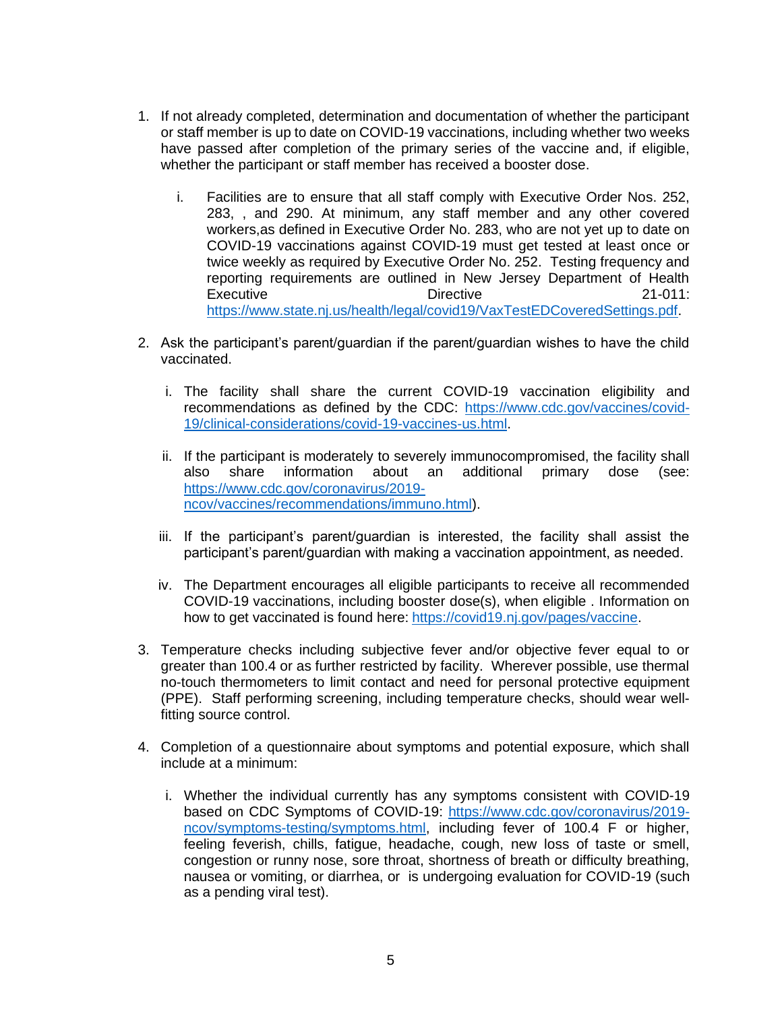- 1. If not already completed, determination and documentation of whether the participant or staff member is up to date on COVID-19 vaccinations, including whether two weeks have passed after completion of the primary series of the vaccine and, if eligible, whether the participant or staff member has received a booster dose.
	- i. Facilities are to ensure that all staff comply with Executive Order Nos. 252, 283, , and 290. At minimum, any staff member and any other covered workers,as defined in Executive Order No. 283, who are not yet up to date on COVID-19 vaccinations against COVID-19 must get tested at least once or twice weekly as required by Executive Order No. 252. Testing frequency and reporting requirements are outlined in New Jersey Department of Health Executive 21-011: [https://www.state.nj.us/health/legal/covid19/VaxTestEDCoveredSettings.pdf.](https://www.state.nj.us/health/legal/covid19/VaxTestEDCoveredSettings.pdf)
- 2. Ask the participant's parent/guardian if the parent/guardian wishes to have the child vaccinated.
	- i. The facility shall share the current COVID-19 vaccination eligibility and recommendations as defined by the CDC: [https://www.cdc.gov/vaccines/covid-](https://www.cdc.gov/vaccines/covid-19/clinical-considerations/covid-19-vaccines-us.html)[19/clinical-considerations/covid-19-vaccines-us.html.](https://www.cdc.gov/vaccines/covid-19/clinical-considerations/covid-19-vaccines-us.html)
	- ii. If the participant is moderately to severely immunocompromised, the facility shall also share information about an additional primary dose (see: [https://www.cdc.gov/coronavirus/2019](https://www.cdc.gov/coronavirus/2019-ncov/vaccines/recommendations/immuno.html) [ncov/vaccines/recommendations/immuno.html\)](https://www.cdc.gov/coronavirus/2019-ncov/vaccines/recommendations/immuno.html).
	- iii. If the participant's parent/guardian is interested, the facility shall assist the participant's parent/guardian with making a vaccination appointment, as needed.
	- iv. The Department encourages all eligible participants to receive all recommended COVID-19 vaccinations, including booster dose(s), when eligible . Information on how to get vaccinated is found here: [https://covid19.nj.gov/pages/vaccine.](https://covid19.nj.gov/pages/vaccine)
- 3. Temperature checks including subjective fever and/or objective fever equal to or greater than 100.4 or as further restricted by facility. Wherever possible, use thermal no-touch thermometers to limit contact and need for personal protective equipment (PPE). Staff performing screening, including temperature checks, should wear wellfitting source control.
- 4. Completion of a questionnaire about symptoms and potential exposure, which shall include at a minimum:
	- i. Whether the individual currently has any symptoms consistent with COVID-19 based on CDC Symptoms of COVID-19: [https://www.cdc.gov/coronavirus/2019](https://www.cdc.gov/coronavirus/2019-ncov/symptoms-testing/symptoms.html) [ncov/symptoms-testing/symptoms.html,](https://www.cdc.gov/coronavirus/2019-ncov/symptoms-testing/symptoms.html) including fever of 100.4 F or higher, feeling feverish, chills, fatigue, headache, cough, new loss of taste or smell, congestion or runny nose, sore throat, shortness of breath or difficulty breathing, nausea or vomiting, or diarrhea, or is undergoing evaluation for COVID-19 (such as a pending viral test).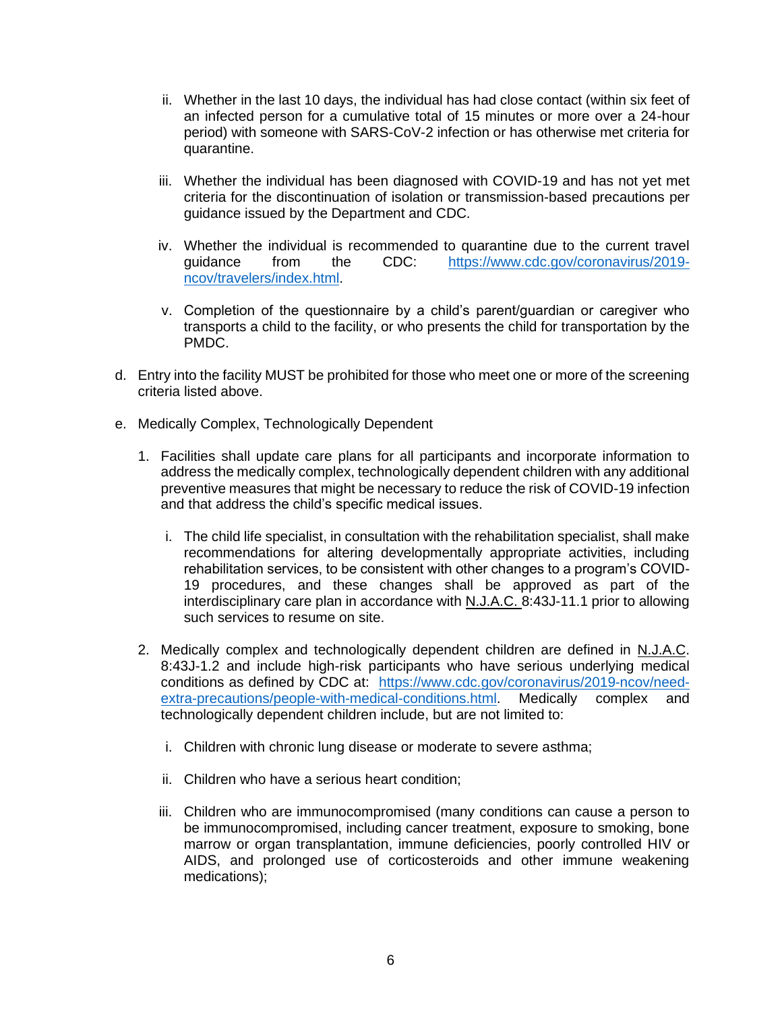- ii. Whether in the last 10 days, the individual has had close contact (within six feet of an infected person for a cumulative total of 15 minutes or more over a 24-hour period) with someone with SARS-CoV-2 infection or has otherwise met criteria for quarantine.
- iii. Whether the individual has been diagnosed with COVID-19 and has not yet met criteria for the discontinuation of isolation or transmission-based precautions per guidance issued by the Department and CDC.
- iv. Whether the individual is recommended to quarantine due to the current travel guidance from the CDC: [https://www.cdc.gov/coronavirus/2019](https://www.cdc.gov/coronavirus/2019-ncov/travelers/index.html) [ncov/travelers/index.html.](https://www.cdc.gov/coronavirus/2019-ncov/travelers/index.html)
- v. Completion of the questionnaire by a child's parent/guardian or caregiver who transports a child to the facility, or who presents the child for transportation by the PMDC.
- d. Entry into the facility MUST be prohibited for those who meet one or more of the screening criteria listed above.
- e. Medically Complex, Technologically Dependent
	- 1. Facilities shall update care plans for all participants and incorporate information to address the medically complex, technologically dependent children with any additional preventive measures that might be necessary to reduce the risk of COVID-19 infection and that address the child's specific medical issues.
		- i. The child life specialist, in consultation with the rehabilitation specialist, shall make recommendations for altering developmentally appropriate activities, including rehabilitation services, to be consistent with other changes to a program's COVID-19 procedures, and these changes shall be approved as part of the interdisciplinary care plan in accordance with N.J.A.C. 8:43J-11.1 prior to allowing such services to resume on site.
	- 2. Medically complex and technologically dependent children are defined in N.J.A.C. 8:43J-1.2 and include high-risk participants who have serious underlying medical conditions as defined by CDC at: [https://www.cdc.gov/coronavirus/2019-ncov/need](https://www.cdc.gov/coronavirus/2019-ncov/need-extra-precautions/people-with-medical-conditions.html)[extra-precautions/people-with-medical-conditions.html.](https://www.cdc.gov/coronavirus/2019-ncov/need-extra-precautions/people-with-medical-conditions.html) Medically complex and technologically dependent children include, but are not limited to:
		- i. Children with chronic lung disease or moderate to severe asthma;
		- ii. Children who have a serious heart condition;
		- iii. Children who are immunocompromised (many conditions can cause a person to be immunocompromised, including cancer treatment, exposure to smoking, bone marrow or organ transplantation, immune deficiencies, poorly controlled HIV or AIDS, and prolonged use of corticosteroids and other immune weakening medications);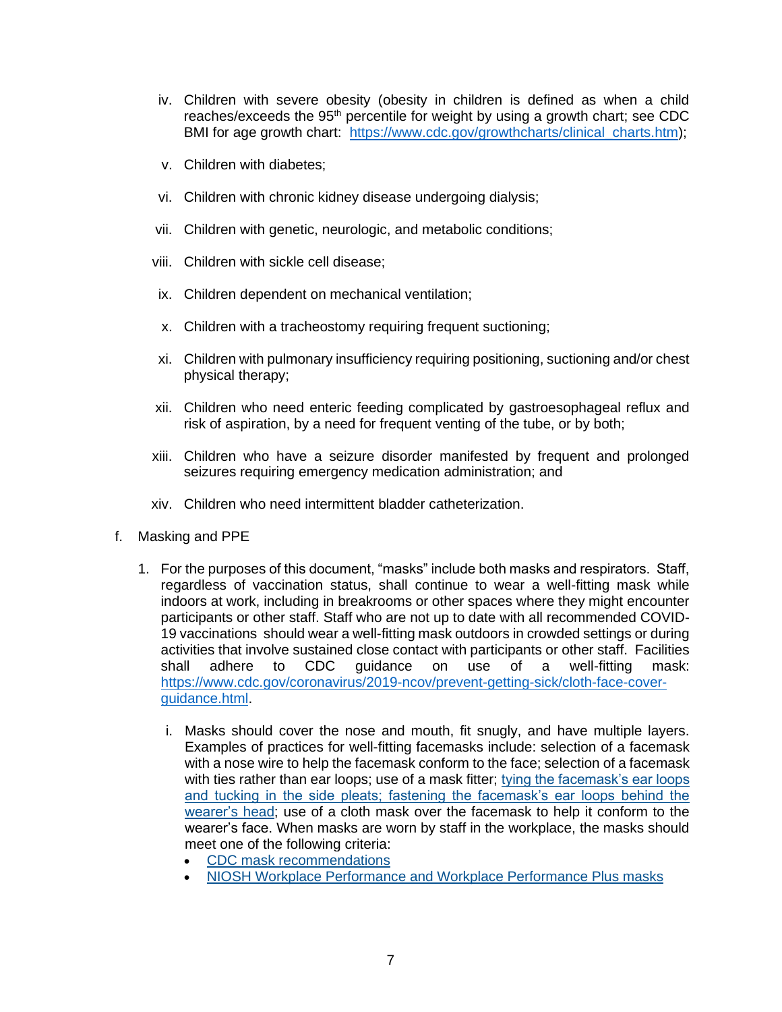- iv. Children with severe obesity (obesity in children is defined as when a child reaches/exceeds the  $95<sup>th</sup>$  percentile for weight by using a growth chart; see CDC BMI for age growth chart: https://www.cdc.gov/growthcharts/clinical charts.htm);
- v. Children with diabetes;
- vi. Children with chronic kidney disease undergoing dialysis;
- vii. Children with genetic, neurologic, and metabolic conditions;
- viii. Children with sickle cell disease;
- ix. Children dependent on mechanical ventilation;
- x. Children with a tracheostomy requiring frequent suctioning;
- xi. Children with pulmonary insufficiency requiring positioning, suctioning and/or chest physical therapy;
- xii. Children who need enteric feeding complicated by gastroesophageal reflux and risk of aspiration, by a need for frequent venting of the tube, or by both;
- xiii. Children who have a seizure disorder manifested by frequent and prolonged seizures requiring emergency medication administration; and
- xiv. Children who need intermittent bladder catheterization.
- f. Masking and PPE
	- 1. For the purposes of this document, "masks" include both masks and respirators. Staff, regardless of vaccination status, shall continue to wear a well-fitting mask while indoors at work, including in breakrooms or other spaces where they might encounter participants or other staff. Staff who are not up to date with all recommended COVID-19 vaccinations should wear a well-fitting mask outdoors in crowded settings or during activities that involve sustained close contact with participants or other staff. Facilities shall adhere to CDC guidance on use of a well-fitting mask: [https://www.cdc.gov/coronavirus/2019-ncov/prevent-getting-sick/cloth-face-cover](https://www.cdc.gov/coronavirus/2019-ncov/prevent-getting-sick/cloth-face-cover-guidance.html)[guidance.html.](https://www.cdc.gov/coronavirus/2019-ncov/prevent-getting-sick/cloth-face-cover-guidance.html)
		- i. Masks should cover the nose and mouth, fit snugly, and have multiple layers. Examples of practices for well-fitting facemasks include: selection of a facemask with a nose wire to help the facemask conform to the face; selection of a facemask with ties rather than ear loops; use of a mask fitter; [tying the facemask's ear loops](https://jamanetwork.com/journals/jamainternalmedicine/fullarticle/2774266)  [and tucking in the side pleats; fastening the facemask's ear loops behind the](https://jamanetwork.com/journals/jamainternalmedicine/fullarticle/2774266)  [wearer's head;](https://jamanetwork.com/journals/jamainternalmedicine/fullarticle/2774266) use of a cloth mask over the facemask to help it conform to the wearer's face. When masks are worn by staff in the workplace, the masks should meet one of the following criteria:
			- [CDC mask recommendations](https://www.cdc.gov/coronavirus/2019-ncov/prevent-getting-sick/cloth-face-cover-guidance.html#anchor_1604966572663)
			- [NIOSH Workplace Performance and Workplace Performance Plus masks](https://www.cdc.gov/niosh/topics/emres/pandemic/)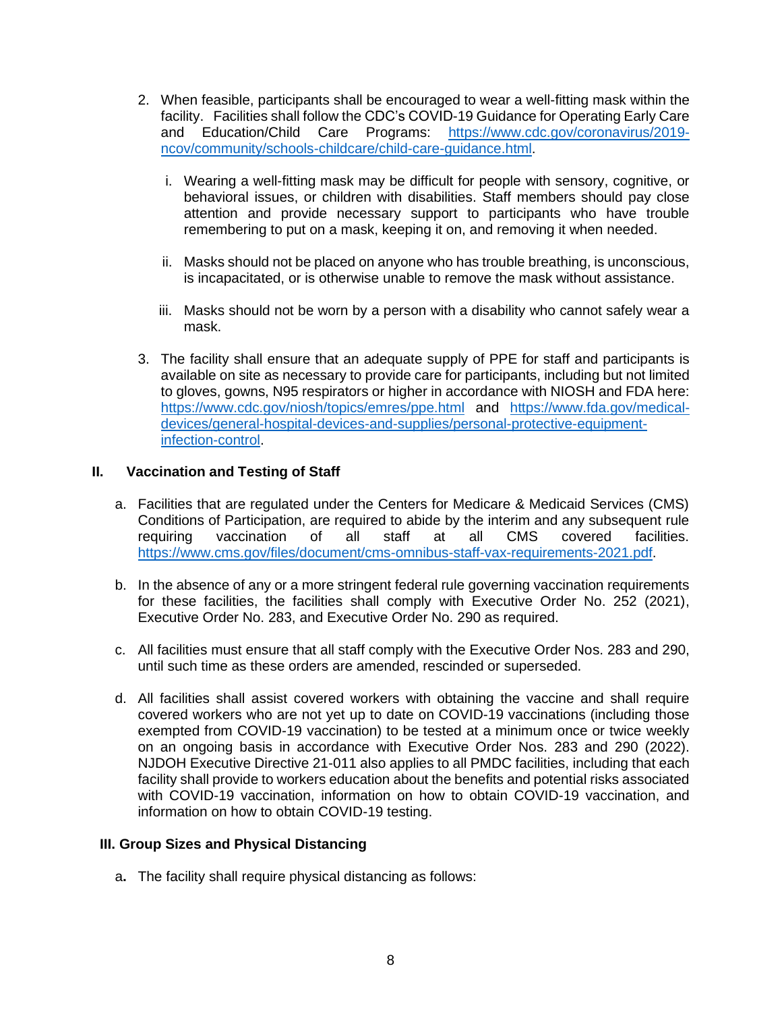- 2. When feasible, participants shall be encouraged to wear a well-fitting mask within the facility. Facilities shall follow the CDC's COVID-19 Guidance for Operating Early Care and Education/Child Care Programs: [https://www.cdc.gov/coronavirus/2019](https://www.cdc.gov/coronavirus/2019-ncov/community/schools-childcare/child-care-guidance.html) [ncov/community/schools-childcare/child-care-guidance.html.](https://www.cdc.gov/coronavirus/2019-ncov/community/schools-childcare/child-care-guidance.html)
	- i. Wearing a well-fitting mask may be difficult for people with sensory, cognitive, or behavioral issues, or children with disabilities. Staff members should pay close attention and provide necessary support to participants who have trouble remembering to put on a mask, keeping it on, and removing it when needed.
	- ii. Masks should not be placed on anyone who has trouble breathing, is unconscious, is incapacitated, or is otherwise unable to remove the mask without assistance.
	- iii. Masks should not be worn by a person with a disability who cannot safely wear a mask.
- 3. The facility shall ensure that an adequate supply of PPE for staff and participants is available on site as necessary to provide care for participants, including but not limited to gloves, gowns, N95 respirators or higher in accordance with NIOSH and FDA here: <https://www.cdc.gov/niosh/topics/emres/ppe.html> and [https://www.fda.gov/medical](https://www.fda.gov/medical-devices/general-hospital-devices-and-supplies/personal-protective-equipment-infection-control)[devices/general-hospital-devices-and-supplies/personal-protective-equipment](https://www.fda.gov/medical-devices/general-hospital-devices-and-supplies/personal-protective-equipment-infection-control)[infection-control.](https://www.fda.gov/medical-devices/general-hospital-devices-and-supplies/personal-protective-equipment-infection-control)

### **II. Vaccination and Testing of Staff**

- a. Facilities that are regulated under the Centers for Medicare & Medicaid Services (CMS) Conditions of Participation, are required to abide by the interim and any subsequent rule requiring vaccination of all staff at all CMS covered facilities. [https://www.cms.gov/files/document/cms-omnibus-staff-vax-requirements-2021.pdf.](https://www.cms.gov/files/document/cms-omnibus-staff-vax-requirements-2021.pdf)
- b. In the absence of any or a more stringent federal rule governing vaccination requirements for these facilities, the facilities shall comply with Executive Order No. 252 (2021), Executive Order No. 283, and Executive Order No. 290 as required.
- c. All facilities must ensure that all staff comply with the Executive Order Nos. 283 and 290, until such time as these orders are amended, rescinded or superseded.
- d. All facilities shall assist covered workers with obtaining the vaccine and shall require covered workers who are not yet up to date on COVID-19 vaccinations (including those exempted from COVID-19 vaccination) to be tested at a minimum once or twice weekly on an ongoing basis in accordance with Executive Order Nos. 283 and 290 (2022). NJDOH Executive Directive 21-011 also applies to all PMDC facilities, including that each facility shall provide to workers education about the benefits and potential risks associated with COVID-19 vaccination, information on how to obtain COVID-19 vaccination, and information on how to obtain COVID-19 testing.

#### **III. Group Sizes and Physical Distancing**

a**.** The facility shall require physical distancing as follows: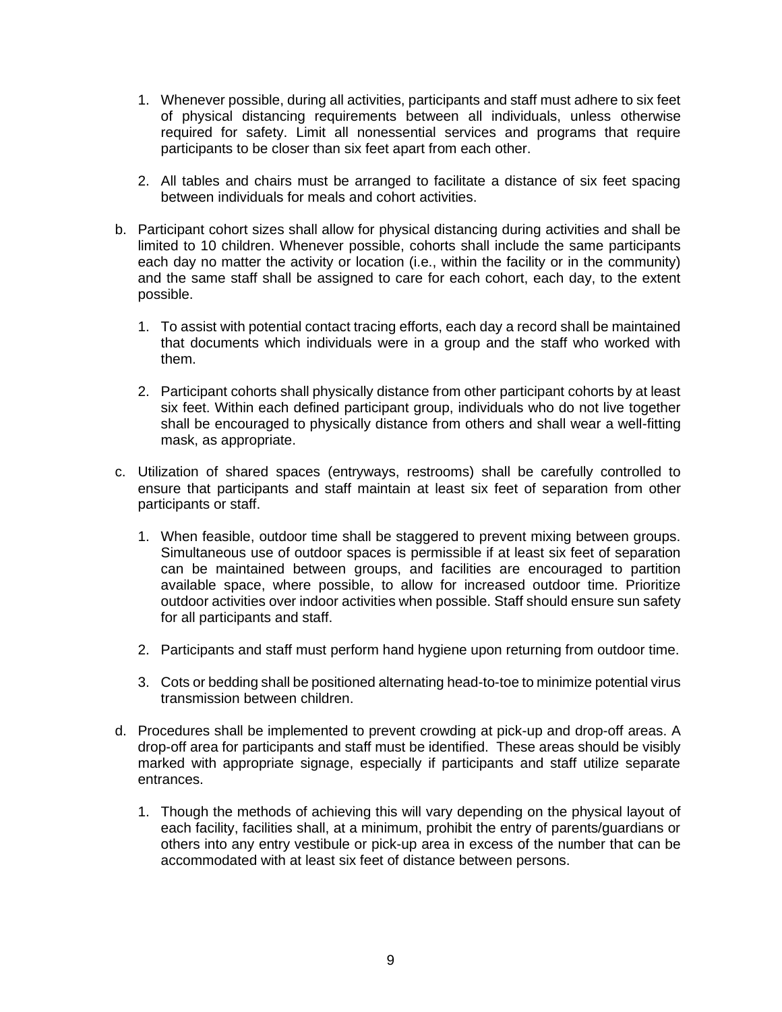- 1. Whenever possible, during all activities, participants and staff must adhere to six feet of physical distancing requirements between all individuals, unless otherwise required for safety. Limit all nonessential services and programs that require participants to be closer than six feet apart from each other.
- 2. All tables and chairs must be arranged to facilitate a distance of six feet spacing between individuals for meals and cohort activities.
- b. Participant cohort sizes shall allow for physical distancing during activities and shall be limited to 10 children. Whenever possible, cohorts shall include the same participants each day no matter the activity or location (i.e., within the facility or in the community) and the same staff shall be assigned to care for each cohort, each day, to the extent possible.
	- 1. To assist with potential contact tracing efforts, each day a record shall be maintained that documents which individuals were in a group and the staff who worked with them.
	- 2. Participant cohorts shall physically distance from other participant cohorts by at least six feet. Within each defined participant group, individuals who do not live together shall be encouraged to physically distance from others and shall wear a well-fitting mask, as appropriate.
- c. Utilization of shared spaces (entryways, restrooms) shall be carefully controlled to ensure that participants and staff maintain at least six feet of separation from other participants or staff.
	- 1. When feasible, outdoor time shall be staggered to prevent mixing between groups. Simultaneous use of outdoor spaces is permissible if at least six feet of separation can be maintained between groups, and facilities are encouraged to partition available space, where possible, to allow for increased outdoor time. Prioritize outdoor activities over indoor activities when possible. Staff should ensure sun safety for all participants and staff.
	- 2. Participants and staff must perform hand hygiene upon returning from outdoor time.
	- 3. Cots or bedding shall be positioned alternating head-to-toe to minimize potential virus transmission between children.
- d. Procedures shall be implemented to prevent crowding at pick-up and drop-off areas. A drop-off area for participants and staff must be identified. These areas should be visibly marked with appropriate signage, especially if participants and staff utilize separate entrances.
	- 1. Though the methods of achieving this will vary depending on the physical layout of each facility, facilities shall, at a minimum, prohibit the entry of parents/guardians or others into any entry vestibule or pick-up area in excess of the number that can be accommodated with at least six feet of distance between persons.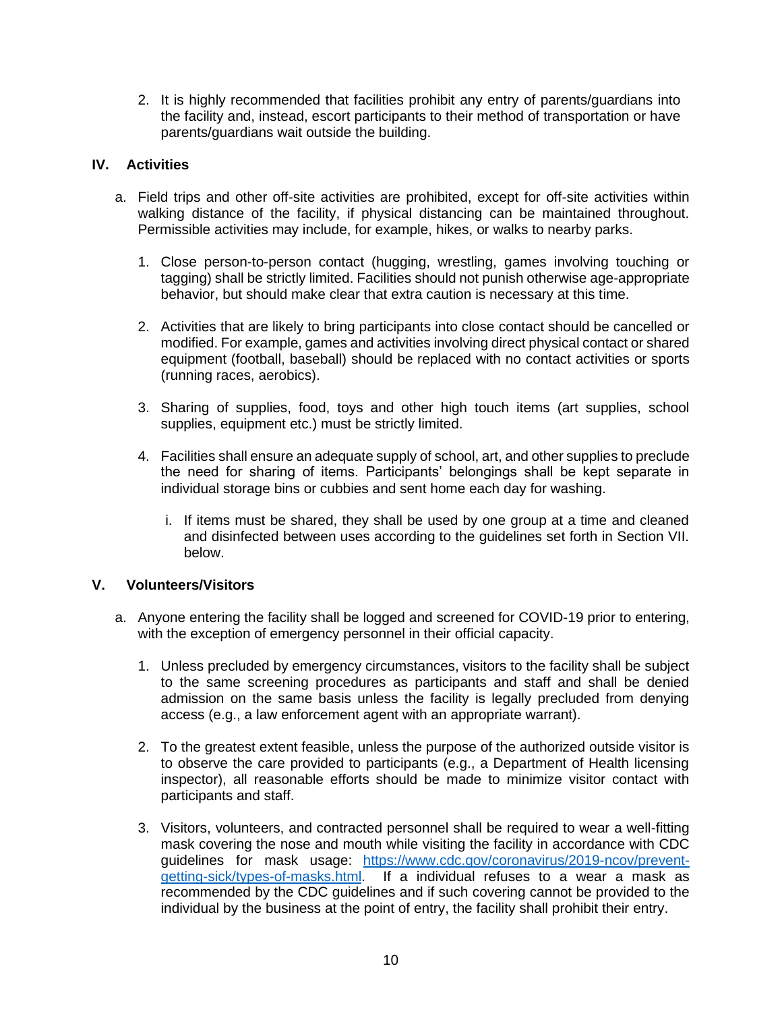2. It is highly recommended that facilities prohibit any entry of parents/guardians into the facility and, instead, escort participants to their method of transportation or have parents/guardians wait outside the building.

## **IV. Activities**

- a. Field trips and other off-site activities are prohibited, except for off-site activities within walking distance of the facility, if physical distancing can be maintained throughout. Permissible activities may include, for example, hikes, or walks to nearby parks.
	- 1. Close person-to-person contact (hugging, wrestling, games involving touching or tagging) shall be strictly limited. Facilities should not punish otherwise age-appropriate behavior, but should make clear that extra caution is necessary at this time.
	- 2. Activities that are likely to bring participants into close contact should be cancelled or modified. For example, games and activities involving direct physical contact or shared equipment (football, baseball) should be replaced with no contact activities or sports (running races, aerobics).
	- 3. Sharing of supplies, food, toys and other high touch items (art supplies, school supplies, equipment etc.) must be strictly limited.
	- 4. Facilities shall ensure an adequate supply of school, art, and other supplies to preclude the need for sharing of items. Participants' belongings shall be kept separate in individual storage bins or cubbies and sent home each day for washing.
		- i. If items must be shared, they shall be used by one group at a time and cleaned and disinfected between uses according to the guidelines set forth in Section VII. below.

## **V. Volunteers/Visitors**

- a. Anyone entering the facility shall be logged and screened for COVID-19 prior to entering, with the exception of emergency personnel in their official capacity.
	- 1. Unless precluded by emergency circumstances, visitors to the facility shall be subject to the same screening procedures as participants and staff and shall be denied admission on the same basis unless the facility is legally precluded from denying access (e.g., a law enforcement agent with an appropriate warrant).
	- 2. To the greatest extent feasible, unless the purpose of the authorized outside visitor is to observe the care provided to participants (e.g., a Department of Health licensing inspector), all reasonable efforts should be made to minimize visitor contact with participants and staff.
	- 3. Visitors, volunteers, and contracted personnel shall be required to wear a well-fitting mask covering the nose and mouth while visiting the facility in accordance with CDC guidelines for mask usage: [https://www.cdc.gov/coronavirus/2019-ncov/prevent](https://www.cdc.gov/coronavirus/2019-ncov/prevent-getting-sick/types-of-masks.html)[getting-sick/types-of-masks.html.](https://www.cdc.gov/coronavirus/2019-ncov/prevent-getting-sick/types-of-masks.html) If a individual refuses to a wear a mask as recommended by the CDC guidelines and if such covering cannot be provided to the individual by the business at the point of entry, the facility shall prohibit their entry.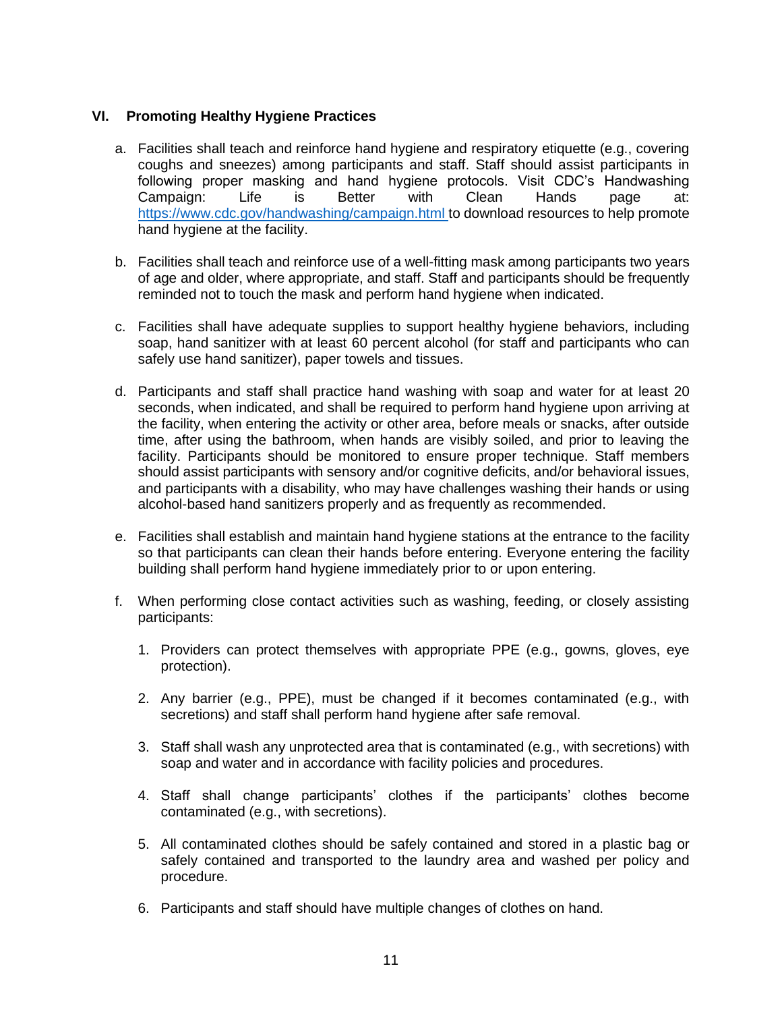### **VI. Promoting Healthy Hygiene Practices**

- a. Facilities shall teach and reinforce hand hygiene and respiratory etiquette (e.g., covering coughs and sneezes) among participants and staff. Staff should assist participants in following proper masking and hand hygiene protocols. Visit CDC's Handwashing Campaign: Life is Better with Clean Hands page at: <https://www.cdc.gov/handwashing/campaign.html> to download resources to help promote hand hygiene at the facility.
- b. Facilities shall teach and reinforce use of a well-fitting mask among participants two years of age and older, where appropriate, and staff. Staff and participants should be frequently reminded not to touch the mask and perform hand hygiene when indicated.
- c. Facilities shall have adequate supplies to support healthy hygiene behaviors, including soap, hand sanitizer with at least 60 percent alcohol (for staff and participants who can safely use hand sanitizer), paper towels and tissues.
- d. Participants and staff shall practice hand washing with soap and water for at least 20 seconds, when indicated, and shall be required to perform hand hygiene upon arriving at the facility, when entering the activity or other area, before meals or snacks, after outside time, after using the bathroom, when hands are visibly soiled, and prior to leaving the facility. Participants should be monitored to ensure proper technique. Staff members should assist participants with sensory and/or cognitive deficits, and/or behavioral issues, and participants with a disability, who may have challenges washing their hands or using alcohol-based hand sanitizers properly and as frequently as recommended.
- e. Facilities shall establish and maintain hand hygiene stations at the entrance to the facility so that participants can clean their hands before entering. Everyone entering the facility building shall perform hand hygiene immediately prior to or upon entering.
- f. When performing close contact activities such as washing, feeding, or closely assisting participants:
	- 1. Providers can protect themselves with appropriate PPE (e.g., gowns, gloves, eye protection).
	- 2. Any barrier (e.g., PPE), must be changed if it becomes contaminated (e.g., with secretions) and staff shall perform hand hygiene after safe removal.
	- 3. Staff shall wash any unprotected area that is contaminated (e.g., with secretions) with soap and water and in accordance with facility policies and procedures.
	- 4. Staff shall change participants' clothes if the participants' clothes become contaminated (e.g., with secretions).
	- 5. All contaminated clothes should be safely contained and stored in a plastic bag or safely contained and transported to the laundry area and washed per policy and procedure.
	- 6. Participants and staff should have multiple changes of clothes on hand.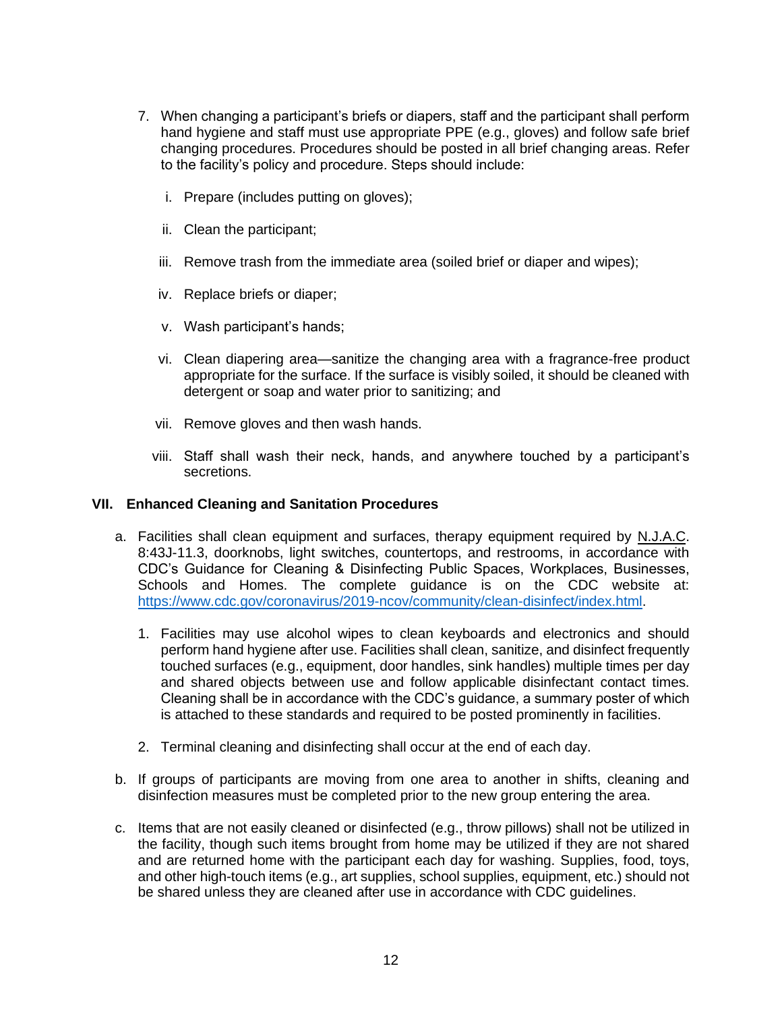- 7. When changing a participant's briefs or diapers, staff and the participant shall perform hand hygiene and staff must use appropriate PPE (e.g., gloves) and follow safe brief changing procedures. Procedures should be posted in all brief changing areas. Refer to the facility's policy and procedure. Steps should include:
	- i. Prepare (includes putting on gloves);
	- ii. Clean the participant;
	- iii. Remove trash from the immediate area (soiled brief or diaper and wipes);
	- iv. Replace briefs or diaper;
	- v. Wash participant's hands;
	- vi. Clean diapering area—sanitize the changing area with a fragrance-free product appropriate for the surface. If the surface is visibly soiled, it should be cleaned with detergent or soap and water prior to sanitizing; and
	- vii. Remove gloves and then wash hands.
	- viii. Staff shall wash their neck, hands, and anywhere touched by a participant's secretions.

### **VII. Enhanced Cleaning and Sanitation Procedures**

- a. Facilities shall clean equipment and surfaces, therapy equipment required by N.J.A.C. 8:43J-11.3, doorknobs, light switches, countertops, and restrooms, in accordance with CDC's Guidance for Cleaning & Disinfecting Public Spaces, Workplaces, Businesses, Schools and Homes. The complete guidance is on the CDC website at: [https://www.cdc.gov/coronavirus/2019-ncov/community/clean-disinfect/index.html.](https://www.cdc.gov/coronavirus/2019-ncov/community/clean-disinfect/index.html)
	- 1. Facilities may use alcohol wipes to clean keyboards and electronics and should perform hand hygiene after use. Facilities shall clean, sanitize, and disinfect frequently touched surfaces (e.g., equipment, door handles, sink handles) multiple times per day and shared objects between use and follow applicable disinfectant contact times. Cleaning shall be in accordance with the CDC's guidance, a summary poster of which is attached to these standards and required to be posted prominently in facilities.
	- 2. Terminal cleaning and disinfecting shall occur at the end of each day.
- b. If groups of participants are moving from one area to another in shifts, cleaning and disinfection measures must be completed prior to the new group entering the area.
- c. Items that are not easily cleaned or disinfected (e.g., throw pillows) shall not be utilized in the facility, though such items brought from home may be utilized if they are not shared and are returned home with the participant each day for washing. Supplies, food, toys, and other high-touch items (e.g., art supplies, school supplies, equipment, etc.) should not be shared unless they are cleaned after use in accordance with CDC guidelines.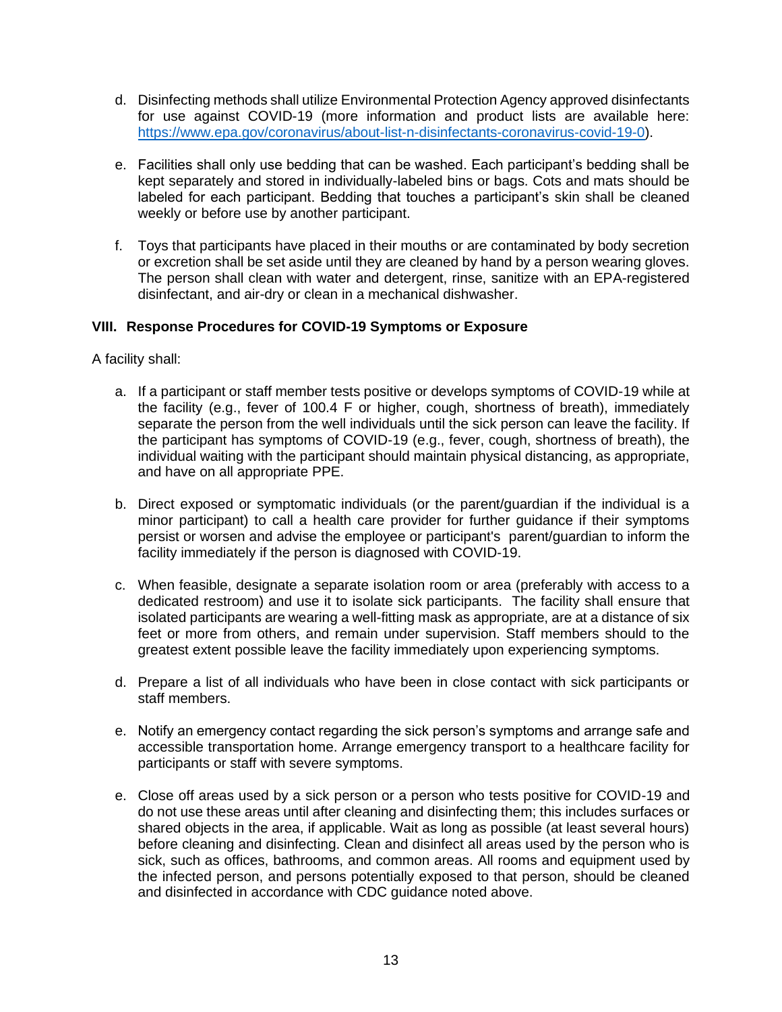- d. Disinfecting methods shall utilize Environmental Protection Agency approved disinfectants for use against COVID-19 (more information and product lists are available here: [https://www.epa.gov/coronavirus/about-list-n-disinfectants-coronavirus-covid-19-0\)](https://www.epa.gov/coronavirus/about-list-n-disinfectants-coronavirus-covid-19-0).
- e. Facilities shall only use bedding that can be washed. Each participant's bedding shall be kept separately and stored in individually-labeled bins or bags. Cots and mats should be labeled for each participant. Bedding that touches a participant's skin shall be cleaned weekly or before use by another participant.
- f. Toys that participants have placed in their mouths or are contaminated by body secretion or excretion shall be set aside until they are cleaned by hand by a person wearing gloves. The person shall clean with water and detergent, rinse, sanitize with an EPA-registered disinfectant, and air-dry or clean in a mechanical dishwasher.

## **VIII. Response Procedures for COVID-19 Symptoms or Exposure**

A facility shall:

- a. If a participant or staff member tests positive or develops symptoms of COVID-19 while at the facility (e.g., fever of 100.4 F or higher, cough, shortness of breath), immediately separate the person from the well individuals until the sick person can leave the facility. If the participant has symptoms of COVID-19 (e.g., fever, cough, shortness of breath), the individual waiting with the participant should maintain physical distancing, as appropriate, and have on all appropriate PPE.
- b. Direct exposed or symptomatic individuals (or the parent/guardian if the individual is a minor participant) to call a health care provider for further guidance if their symptoms persist or worsen and advise the employee or participant's parent/guardian to inform the facility immediately if the person is diagnosed with COVID-19.
- c. When feasible, designate a separate isolation room or area (preferably with access to a dedicated restroom) and use it to isolate sick participants. The facility shall ensure that isolated participants are wearing a well-fitting mask as appropriate, are at a distance of six feet or more from others, and remain under supervision. Staff members should to the greatest extent possible leave the facility immediately upon experiencing symptoms.
- d. Prepare a list of all individuals who have been in close contact with sick participants or staff members.
- e. Notify an emergency contact regarding the sick person's symptoms and arrange safe and accessible transportation home. Arrange emergency transport to a healthcare facility for participants or staff with severe symptoms.
- e. Close off areas used by a sick person or a person who tests positive for COVID-19 and do not use these areas until after cleaning and disinfecting them; this includes surfaces or shared objects in the area, if applicable. Wait as long as possible (at least several hours) before cleaning and disinfecting. Clean and disinfect all areas used by the person who is sick, such as offices, bathrooms, and common areas. All rooms and equipment used by the infected person, and persons potentially exposed to that person, should be cleaned and disinfected in accordance with CDC guidance noted above.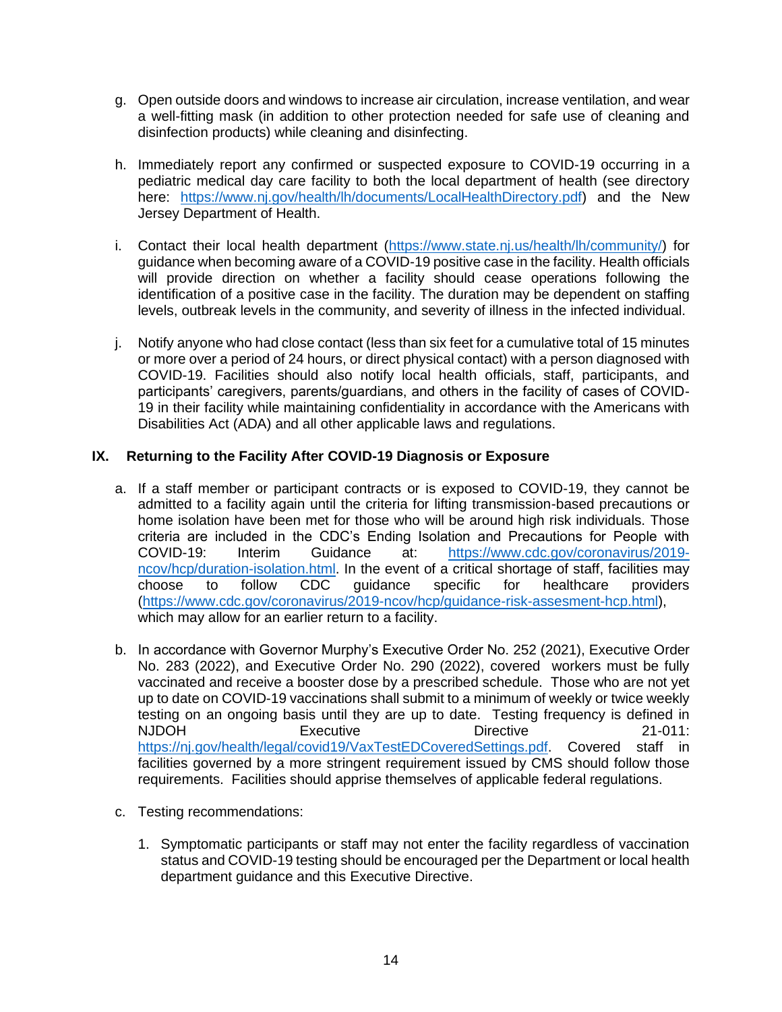- g. Open outside doors and windows to increase air circulation, increase ventilation, and wear a well-fitting mask (in addition to other protection needed for safe use of cleaning and disinfection products) while cleaning and disinfecting.
- h. Immediately report any confirmed or suspected exposure to COVID-19 occurring in a pediatric medical day care facility to both the local department of health (see directory here: [https://www.nj.gov/health/lh/documents/LocalHealthDirectory.pdf\)](https://www.nj.gov/health/lh/documents/LocalHealthDirectory.pdf) and the New Jersey Department of Health.
- i. Contact their local health department [\(https://www.state.nj.us/health/lh/community/\)](https://www.state.nj.us/health/lh/community/) for guidance when becoming aware of a COVID-19 positive case in the facility. Health officials will provide direction on whether a facility should cease operations following the identification of a positive case in the facility. The duration may be dependent on staffing levels, outbreak levels in the community, and severity of illness in the infected individual.
- j. Notify anyone who had close contact (less than six feet for a cumulative total of 15 minutes or more over a period of 24 hours, or direct physical contact) with a person diagnosed with COVID-19. Facilities should also notify local health officials, staff, participants, and participants' caregivers, parents/guardians, and others in the facility of cases of COVID-19 in their facility while maintaining confidentiality in accordance with the Americans with Disabilities Act (ADA) and all other applicable laws and regulations.

# **IX. Returning to the Facility After COVID-19 Diagnosis or Exposure**

- a. If a staff member or participant contracts or is exposed to COVID-19, they cannot be admitted to a facility again until the criteria for lifting transmission-based precautions or home isolation have been met for those who will be around high risk individuals. Those criteria are included in the CDC's Ending Isolation and Precautions for People with COVID-19: Interim Guidance at: [https://www.cdc.gov/coronavirus/2019](https://www.cdc.gov/coronavirus/2019-ncov/hcp/duration-isolation.html) [ncov/hcp/duration-isolation.html.](https://www.cdc.gov/coronavirus/2019-ncov/hcp/duration-isolation.html) In the event of a critical shortage of staff, facilities may choose to follow CDC guidance specific for healthcare providers [\(https://www.cdc.gov/coronavirus/2019-ncov/hcp/guidance-risk-assesment-hcp.html\)](https://www.cdc.gov/coronavirus/2019-ncov/hcp/guidance-risk-assesment-hcp.html), which may allow for an earlier return to a facility.
- b. In accordance with Governor Murphy's Executive Order No. 252 (2021), Executive Order No. 283 (2022), and Executive Order No. 290 (2022), covered workers must be fully vaccinated and receive a booster dose by a prescribed schedule. Those who are not yet up to date on COVID-19 vaccinations shall submit to a minimum of weekly or twice weekly testing on an ongoing basis until they are up to date. Testing frequency is defined in NJDOH Executive Directive 21-011: [https://nj.gov/health/legal/covid19/VaxTestEDCoveredSettings.pdf.](https://nj.gov/health/legal/covid19/VaxTestEDCoveredSettings.pdf) Covered staff in facilities governed by a more stringent requirement issued by CMS should follow those requirements. Facilities should apprise themselves of applicable federal regulations.
- c. Testing recommendations:
	- 1. Symptomatic participants or staff may not enter the facility regardless of vaccination status and COVID-19 testing should be encouraged per the Department or local health department guidance and this Executive Directive.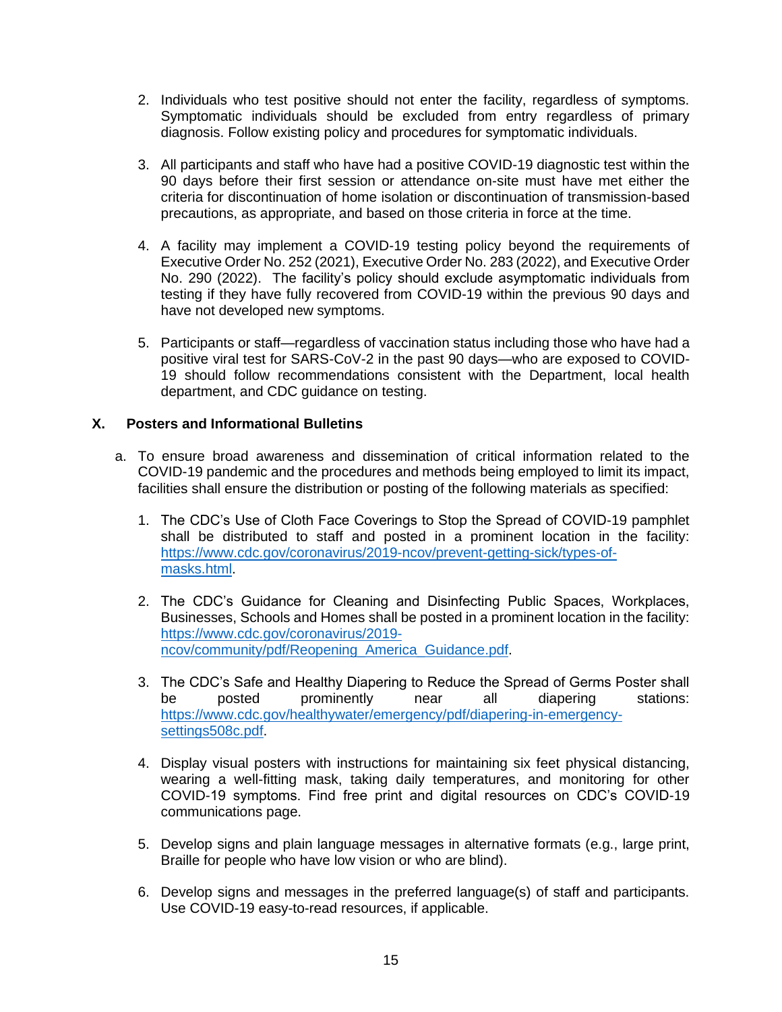- 2. Individuals who test positive should not enter the facility, regardless of symptoms. Symptomatic individuals should be excluded from entry regardless of primary diagnosis. Follow existing policy and procedures for symptomatic individuals.
- 3. All participants and staff who have had a positive COVID-19 diagnostic test within the 90 days before their first session or attendance on-site must have met either the criteria for discontinuation of home isolation or discontinuation of transmission-based precautions, as appropriate, and based on those criteria in force at the time.
- 4. A facility may implement a COVID-19 testing policy beyond the requirements of Executive Order No. 252 (2021), Executive Order No. 283 (2022), and Executive Order No. 290 (2022). The facility's policy should exclude asymptomatic individuals from testing if they have fully recovered from COVID-19 within the previous 90 days and have not developed new symptoms.
- 5. Participants or staff—regardless of vaccination status including those who have had a positive viral test for SARS-CoV-2 in the past 90 days—who are exposed to COVID-19 should follow recommendations consistent with the Department, local health department, and CDC guidance on testing.

## **X. Posters and Informational Bulletins**

- a. To ensure broad awareness and dissemination of critical information related to the COVID-19 pandemic and the procedures and methods being employed to limit its impact, facilities shall ensure the distribution or posting of the following materials as specified:
	- 1. The CDC's Use of Cloth Face Coverings to Stop the Spread of COVID-19 pamphlet shall be distributed to staff and posted in a prominent location in the facility: [https://www.cdc.gov/coronavirus/2019-ncov/prevent-getting-sick/types-of](https://www.cdc.gov/coronavirus/2019-ncov/prevent-getting-sick/types-of-masks.html)[masks.html.](https://www.cdc.gov/coronavirus/2019-ncov/prevent-getting-sick/types-of-masks.html)
	- 2. The CDC's Guidance for Cleaning and Disinfecting Public Spaces, Workplaces, Businesses, Schools and Homes shall be posted in a prominent location in the facility: [https://www.cdc.gov/coronavirus/2019](https://www.cdc.gov/coronavirus/2019-ncov/community/pdf/Reopening_America_Guidance.pdf) [ncov/community/pdf/Reopening\\_America\\_Guidance.pdf.](https://www.cdc.gov/coronavirus/2019-ncov/community/pdf/Reopening_America_Guidance.pdf)
	- 3. The CDC's Safe and Healthy Diapering to Reduce the Spread of Germs Poster shall be posted prominently near all diapering stations: [https://www.cdc.gov/healthywater/emergency/pdf/diapering-in-emergency](https://www.cdc.gov/healthywater/emergency/pdf/diapering-in-emergency-settings508c.pdf)[settings508c.pdf.](https://www.cdc.gov/healthywater/emergency/pdf/diapering-in-emergency-settings508c.pdf)
	- 4. Display visual posters with instructions for maintaining six feet physical distancing, wearing a well-fitting mask, taking daily temperatures, and monitoring for other COVID-19 symptoms. Find free print and digital resources on CDC's COVID-19 communications page.
	- 5. Develop signs and plain language messages in alternative formats (e.g., large print, Braille for people who have low vision or who are blind).
	- 6. Develop signs and messages in the preferred language(s) of staff and participants. Use COVID-19 easy-to-read resources, if applicable.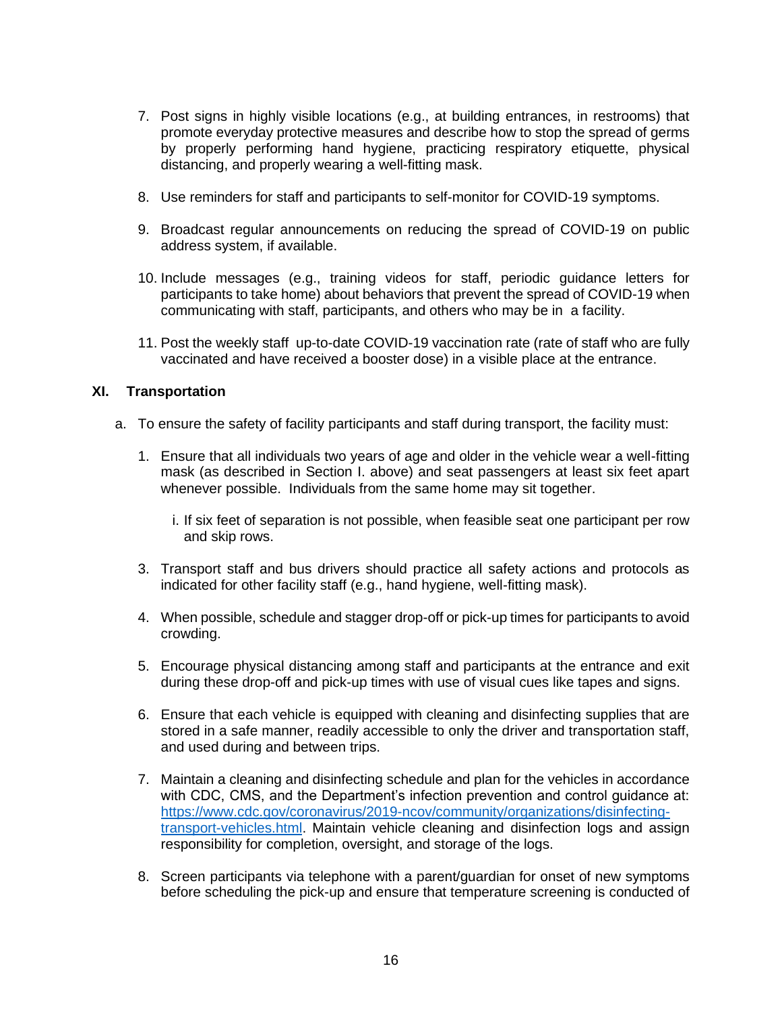- 7. Post signs in highly visible locations (e.g., at building entrances, in restrooms) that promote everyday protective measures and describe how to stop the spread of germs by properly performing hand hygiene, practicing respiratory etiquette, physical distancing, and properly wearing a well-fitting mask.
- 8. Use reminders for staff and participants to self-monitor for COVID-19 symptoms.
- 9. Broadcast regular announcements on reducing the spread of COVID-19 on public address system, if available.
- 10. Include messages (e.g., training videos for staff, periodic guidance letters for participants to take home) about behaviors that prevent the spread of COVID-19 when communicating with staff, participants, and others who may be in a facility.
- 11. Post the weekly staff up-to-date COVID-19 vaccination rate (rate of staff who are fully vaccinated and have received a booster dose) in a visible place at the entrance.

### **XI. Transportation**

- a. To ensure the safety of facility participants and staff during transport, the facility must:
	- 1. Ensure that all individuals two years of age and older in the vehicle wear a well-fitting mask (as described in Section I. above) and seat passengers at least six feet apart whenever possible. Individuals from the same home may sit together.
		- i. If six feet of separation is not possible, when feasible seat one participant per row and skip rows.
	- 3. Transport staff and bus drivers should practice all safety actions and protocols as indicated for other facility staff (e.g., hand hygiene, well-fitting mask).
	- 4. When possible, schedule and stagger drop-off or pick-up times for participants to avoid crowding.
	- 5. Encourage physical distancing among staff and participants at the entrance and exit during these drop-off and pick-up times with use of visual cues like tapes and signs.
	- 6. Ensure that each vehicle is equipped with cleaning and disinfecting supplies that are stored in a safe manner, readily accessible to only the driver and transportation staff, and used during and between trips.
	- 7. Maintain a cleaning and disinfecting schedule and plan for the vehicles in accordance with CDC, CMS, and the Department's infection prevention and control guidance at: [https://www.cdc.gov/coronavirus/2019-ncov/community/organizations/disinfecting](https://www.cdc.gov/coronavirus/2019-ncov/community/organizations/disinfecting-transport-vehicles.html)[transport-vehicles.html.](https://www.cdc.gov/coronavirus/2019-ncov/community/organizations/disinfecting-transport-vehicles.html) Maintain vehicle cleaning and disinfection logs and assign responsibility for completion, oversight, and storage of the logs.
	- 8. Screen participants via telephone with a parent/guardian for onset of new symptoms before scheduling the pick-up and ensure that temperature screening is conducted of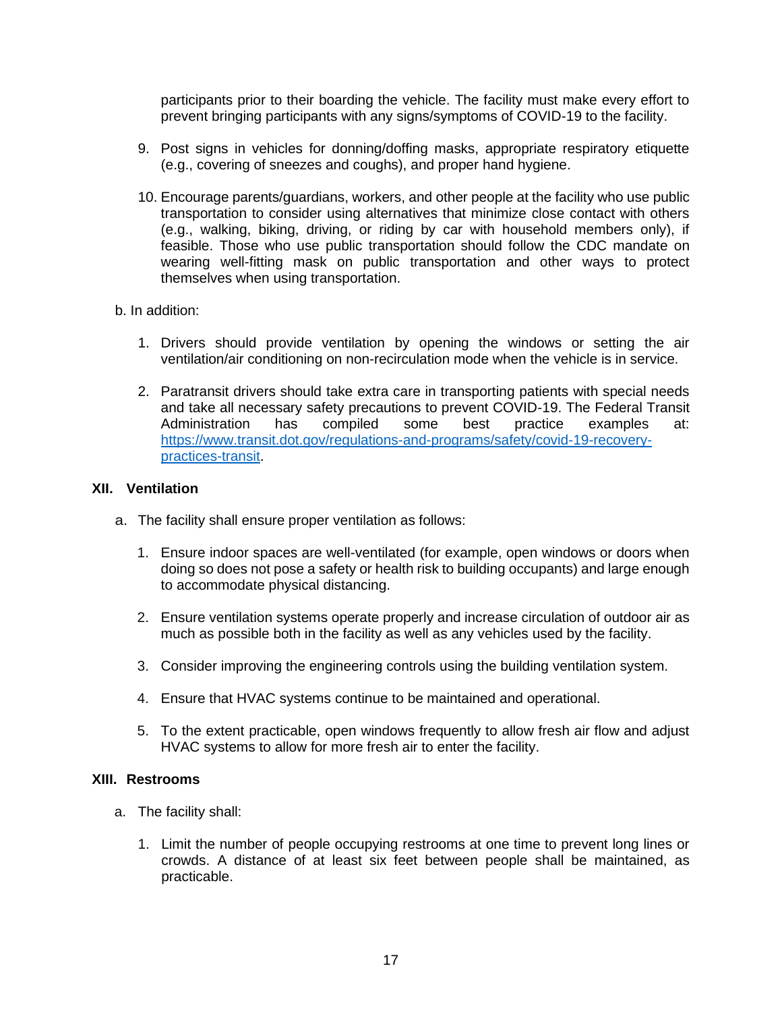participants prior to their boarding the vehicle. The facility must make every effort to prevent bringing participants with any signs/symptoms of COVID-19 to the facility.

- 9. Post signs in vehicles for donning/doffing masks, appropriate respiratory etiquette (e.g., covering of sneezes and coughs), and proper hand hygiene.
- 10. Encourage parents/guardians, workers, and other people at the facility who use public transportation to consider using alternatives that minimize close contact with others (e.g., walking, biking, driving, or riding by car with household members only), if feasible. Those who use public transportation should follow the CDC mandate on wearing well-fitting mask on public transportation and other ways to protect themselves when using transportation.

### b. In addition:

- 1. Drivers should provide ventilation by opening the windows or setting the air ventilation/air conditioning on non-recirculation mode when the vehicle is in service.
- 2. Paratransit drivers should take extra care in transporting patients with special needs and take all necessary safety precautions to prevent COVID-19. The Federal Transit Administration has compiled some best practice examples at: [https://www.transit.dot.gov/regulations-and-programs/safety/covid-19-recovery](https://www.transit.dot.gov/regulations-and-programs/safety/covid-19-recovery-practices-transit)[practices-transit.](https://www.transit.dot.gov/regulations-and-programs/safety/covid-19-recovery-practices-transit)

### **XII. Ventilation**

- a. The facility shall ensure proper ventilation as follows:
	- 1. Ensure indoor spaces are well-ventilated (for example, open windows or doors when doing so does not pose a safety or health risk to building occupants) and large enough to accommodate physical distancing.
	- 2. Ensure ventilation systems operate properly and increase circulation of outdoor air as much as possible both in the facility as well as any vehicles used by the facility.
	- 3. Consider improving the engineering controls using the building ventilation system.
	- 4. Ensure that HVAC systems continue to be maintained and operational.
	- 5. To the extent practicable, open windows frequently to allow fresh air flow and adjust HVAC systems to allow for more fresh air to enter the facility.

### **XIII. Restrooms**

- a. The facility shall:
	- 1. Limit the number of people occupying restrooms at one time to prevent long lines or crowds. A distance of at least six feet between people shall be maintained, as practicable.